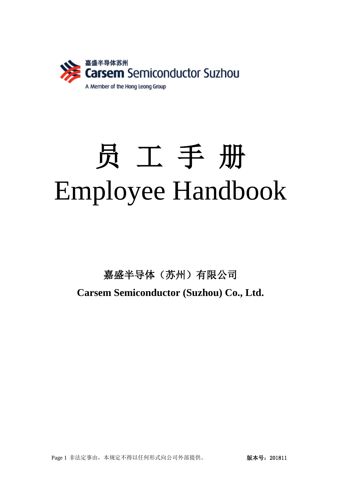

# 员 工 手 册 Employee Handbook

嘉盛半导体(苏州)有限公司 **Carsem Semiconductor (Suzhou) Co., Ltd.**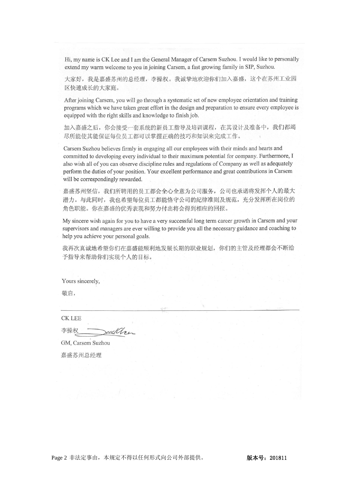Hi, my name is CK Lee and I am the General Manager of Carsem Suzhou. I would like to personally extend my warm welcome to you in joining Carsem, a fast growing family in SIP, Suzhou.

大家好, 我是嘉盛苏州的总经理, 李操权。我诚挚地欢迎你们加入嘉盛, 这个在苏州工业园 区快速成长的大家庭。

After joining Carsem, you will go through a systematic set of new employee orientation and training programs which we have taken great effort in the design and preparation to ensure every employee is equipped with the right skills and knowledge to finish job.

加入嘉盛之后, 你会接受一套系统的新员工指导及培训课程, 在其设计及准备中, 我们都竭 尽所能使其能保证每位员工都可以掌握正确的技巧和知识来完成工作。

Carsem Suzhou believes firmly in engaging all our employees with their minds and hearts and committed to developing every individual to their maximum potential for company. Furthermore, I also wish all of you can observe discipline rules and regulations of Company as well as adequately perform the duties of your position. Your excellent performance and great contributions in Carsem will be correspondingly rewarded.

嘉盛苏州坚信, 我们所聘用的员工都会全心全意为公司服务, 公司也承诺将发挥个人的最大 潜力。与此同时, 我也希望每位员工都能恪守公司的纪律准则及规范, 充分发挥所在岗位的 角色职能。你在嘉盛的优秀表现和努力付出将会得到相应的回报。

My sincere wish again for you to have a very successful long term career growth in Carsem and your supervisors and managers are ever willing to provide you all the necessary guidance and coaching to help you achieve your personal goals.

我再次真诚地希望你们在嘉盛能顺利地发展长期的职业规划,你们的主管及经理都会不断给 予指导来帮助你们实现个人的目标。

Yours sincerely,

敬启,

**CK LEE** 

李操权 ecc/Are

GM, Carsem Suzhou 嘉盛苏州总经理

Page 2 非法定事由,本规定不得以任何形式向公司外部提供。 版本号:201811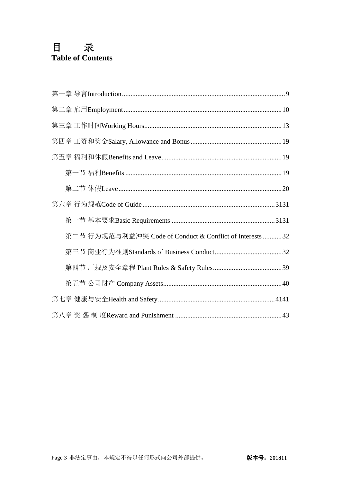# 目录 **Table of Contents**

| 第二节 行为规范与利益冲突 Code of Conduct & Conflict of Interests 32 |
|----------------------------------------------------------|
|                                                          |
|                                                          |
|                                                          |
|                                                          |
|                                                          |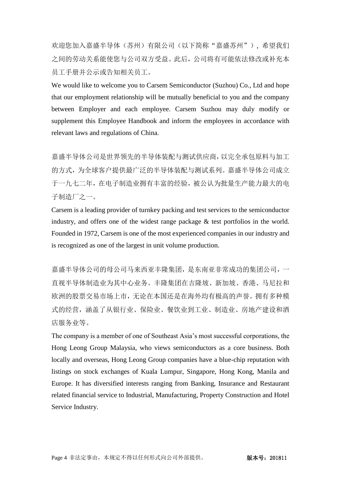欢迎您加入嘉盛半导体(苏州)有限公司(以下简称"嘉盛苏州"), 希望我们 之间的劳动关系能使您与公司双方受益。此后,公司将有可能依法修改或补充本 员工手册并公示或告知相关员工。

We would like to welcome you to Carsem Semiconductor (Suzhou) Co., Ltd and hope that our employment relationship will be mutually beneficial to you and the company between Employer and each employee. Carsem Suzhou may duly modify or supplement this Employee Handbook and inform the employees in accordance with relevant laws and regulations of China.

嘉盛半导体公司是世界领先的半导体装配与测试供应商,以完全承包原料与加工 的方式,为全球客户提供最广泛的半导体装配与测试系列。嘉盛半导体公司成立 于一九七二年,在电子制造业拥有丰富的经验,被公认为批量生产能力最大的电 子制造厂之一。

Carsem is a leading provider of turnkey packing and test services to the semiconductor industry, and offers one of the widest range package & test portfolios in the world. Founded in 1972, Carsem is one of the most experienced companies in our industry and is recognized as one of the largest in unit volume production.

嘉盛半导体公司的母公司马来西亚丰隆集团,是东南亚非常成功的集团公司,一 直视半导体制造业为其中心业务。丰隆集团在吉隆坡、新加坡、香港、马尼拉和 欧洲的股票交易市场上市,无论在本国还是在海外均有极高的声誉。拥有多种模 式的经营,涵盖了从银行业、保险业、餐饮业到工业、制造业、房地产建设和酒 店服务业等。

The company is a member of one of Southeast Asia's most successful corporations, the Hong Leong Group Malaysia, who views semiconductors as a core business. Both locally and overseas, Hong Leong Group companies have a blue-chip reputation with listings on stock exchanges of Kuala Lumpur, Singapore, Hong Kong, Manila and Europe. It has diversified interests ranging from Banking, Insurance and Restaurant related financial service to Industrial, Manufacturing, Property Construction and Hotel Service Industry.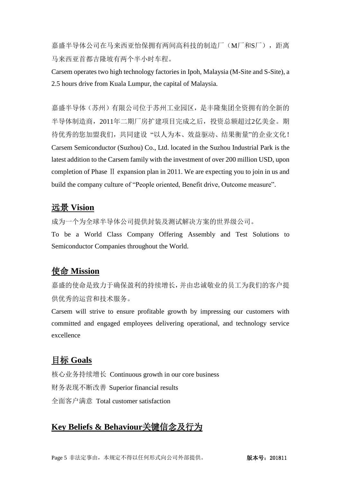嘉盛半导体公司在马来西亚怡保拥有两间高科技的制造厂(M厂和S厂),距离 马来西亚首都吉隆坡有两个半小时车程。

Carsem operates two high technology factories in Ipoh, Malaysia (M-Site and S-Site), a 2.5 hours drive from Kuala Lumpur, the capital of Malaysia.

嘉盛半导体(苏州)有限公司位于苏州工业园区,是丰隆集团全资拥有的全新的 半导体制造商,2011年二期厂房扩建项目完成之后,投资总额超过2亿美金。期 待优秀的您加盟我们,共同建设 "以人为本、效益驱动、结果衡量"的企业文化! Carsem Semiconductor (Suzhou) Co., Ltd. located in the Suzhou Industrial Park is the latest addition to the Carsem family with the investment of over 200 million USD, upon completion of Phase Ⅱ expansion plan in 2011. We are expecting you to join in us and build the company culture of "People oriented, Benefit drive, Outcome measure".

# 远景 **Vision**

成为一个为全球半导体公司提供封装及测试解决方案的世界级公司。

To be a World Class Company Offering Assembly and Test Solutions to Semiconductor Companies throughout the World.

# 使命 **Mission**

嘉盛的使命是致力于确保盈利的持续增长,并由忠诚敬业的员工为我们的客户提 供优秀的运营和技术服务。

Carsem will strive to ensure profitable growth by impressing our customers with committed and engaged employees delivering operational, and technology service excellence

# 目标 **Goals**

核心业务持续增长 Continuous growth in our core business 财务表现不断改善 Superior financial results 全面客户满意 Total customer satisfaction

# **Key Beliefs & Behaviour**关键信念及行为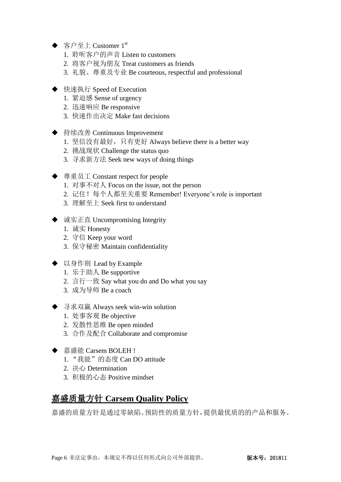- ◆ 客户至上 Customer  $1^{\text{st}}$ 
	- 1. 聆听客户的声音 Listen to customers
	- 2. 将客户视为朋友 Treat customers as friends
	- 3. 礼貌、尊重及专业 Be courteous, respectful and professional
- ◆ 快速执行 Speed of Execution
	- 1. 紧迫感 Sense of urgency
	- 2. 迅速响应 Be responsive
	- 3. 快速作出决定 Make fast decisions
- ◆ 持续改善 Continuous Improvement
	- 1. 坚信没有最好, 只有更好 Always believe there is a better way
	- 2. 挑战现状 Challenge the status quo
	- 3. 寻求新方法 Seek new ways of doing things
- ◆ 尊重员工 Constant respect for people
	- 1. 对事不对人 Focus on the issue, not the person
	- 2. 记住!每个人都至关重要 Remember! Everyone's role is important
	- 3. 理解至上 Seek first to understand
- ◆ 诚实正直 Uncompromising Integrity
	- 1. 诚实 Honesty
	- 2. 守信 Keep your word
	- 3. 保守秘密 Maintain confidentiality
- ◆ 以身作则 Lead by Example
	- 1. 乐于助人 Be supportive
	- 2. 言行一致 Say what you do and Do what you say
	- 3. 成为导师 Be a coach
- ◆ 寻求双赢 Always seek win-win solution
	- 1. 处事客观 Be objective
	- 2. 发散性思维 Be open minded
	- 3. 合作及配合 Collaborate and compromise
- ◆ 嘉盛能 Carsem BOLEH !
	- 1. "我能"的态度 Can DO attitude
	- 2. 决心 Determination
	- 3. 积极的心态 Positive mindset

# 嘉盛质量方针 **Carsem Quality Policy**

嘉盛的质量方针是通过零缺陷、预防性的质量方针,提供最优质的的产品和服务。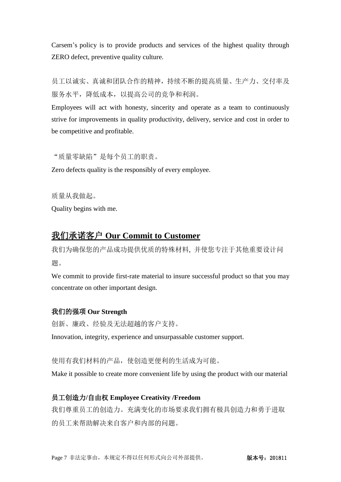Carsem's policy is to provide products and services of the highest quality through ZERO defect, preventive quality culture.

员工以诚实、真诚和团队合作的精神,持续不断的提高质量、生产力、交付率及 服务水平,降低成本,以提高公司的竞争和利润。

Employees will act with honesty, sincerity and operate as a team to continuously strive for improvements in quality productivity, delivery, service and cost in order to be competitive and profitable.

"质量零缺陷"是每个员工的职责。

Zero defects quality is the responsibly of every employee.

质量从我做起。

Quality begins with me.

# 我们承诺客户 **Our Commit to Customer**

我们为确保您的产品成功提供优质的特殊材料, 并使您专注于其他重要设计问 题。

We commit to provide first-rate material to insure successful product so that you may concentrate on other important design.

### 我们的强项 **Our Strength**

创新、廉政、经验及无法超越的客户支持。

Innovation, integrity, experience and unsurpassable customer support.

使用有我们材料的产品,使创造更便利的生活成为可能。

Make it possible to create more convenient life by using the product with our material

### 员工创造力**/**自由权 **Employee Creativity /Freedom**

我们尊重员工的创造力。充满变化的市场要求我们拥有极具创造力和勇于进取 的员工来帮助解决来自客户和内部的问题。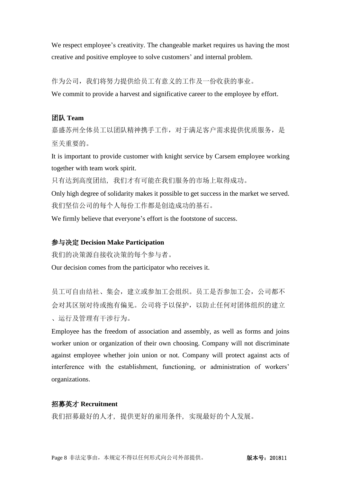We respect employee's creativity. The changeable market requires us having the most creative and positive employee to solve customers' and internal problem.

作为公司,我们将努力提供给员工有意义的工作及一份收获的事业。

We commit to provide a harvest and significative career to the employee by effort.

### 团队 **Team**

嘉盛苏州全体员工以团队精神携手工作,对于满足客户需求提供优质服务,是 至关重要的。

It is important to provide customer with knight service by Carsem employee working together with team work spirit.

只有达到高度团结, 我们才有可能在我们服务的市场上取得成功。

Only high degree of solidarity makes it possible to get success in the market we served. 我们坚信公司的每个人每份工作都是创造成功的基石。

We firmly believe that everyone's effort is the footstone of success.

#### 参与决定 **Decision Make Participation**

我们的决策源自接收决策的每个参与者。

Our decision comes from the participator who receives it.

员工可自由结社、集会,建立或参加工会组织。员工是否参加工会,公司都不 会对其区别对待或抱有偏见。公司将予以保护,以防止任何对团体组织的建立 、运行及管理有干涉行为。

Employee has the freedom of association and assembly, as well as forms and joins worker union or organization of their own choosing. Company will not discriminate against employee whether join union or not. Company will protect against acts of interference with the establishment, functioning, or administration of workers' organizations.

### 招募英才 **Recruitment**

我们招募最好的人才, 提供更好的雇用条件, 实现最好的个人发展。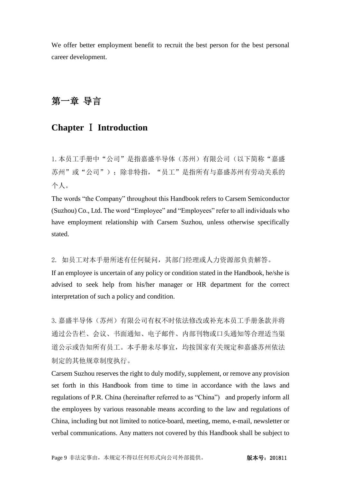We offer better employment benefit to recruit the best person for the best personal career development.

# <span id="page-8-0"></span>第一章 导言

# **Chapter** Ⅰ **Introduction**

1. 本员工手册中"公司"是指嘉盛半导体(苏州)有限公司(以下简称"嘉盛 苏州"或"公司");除非特指,"员工"是指所有与嘉盛苏州有劳动关系的 个人。

The words "the Company" throughout this Handbook refers to Carsem Semiconductor (Suzhou) Co., Ltd. The word "Employee" and "Employees" refer to all individuals who have employment relationship with Carsem Suzhou, unless otherwise specifically stated.

2. 如员工对本手册所述有任何疑问,其部门经理或人力资源部负责解答。

If an employee is uncertain of any policy or condition stated in the Handbook, he/she is advised to seek help from his/her manager or HR department for the correct interpretation of such a policy and condition.

3. 嘉盛半导体(苏州)有限公司有权不时依法修改或补充本员工手册条款并将 通过公告栏、会议、书面通知、电子邮件、内部刊物或口头通知等合理适当渠 道公示或告知所有员工。本手册未尽事宜,均按国家有关规定和嘉盛苏州依法 制定的其他规章制度执行。

Carsem Suzhou reserves the right to duly modify, supplement, or remove any provision set forth in this Handbook from time to time in accordance with the laws and regulations of P.R. China (hereinafter referred to as "China") and properly inform all the employees by various reasonable means according to the law and regulations of China, including but not limited to notice-board, meeting, memo, e-mail, newsletter or verbal communications. Any matters not covered by this Handbook shall be subject to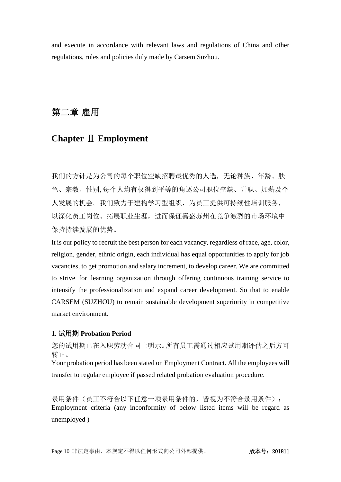<span id="page-9-0"></span>and execute in accordance with relevant laws and regulations of China and other regulations, rules and policies duly made by Carsem Suzhou.

# 第二章 雇用

# **Chapter** Ⅱ **Employment**

我们的方针是为公司的每个职位空缺招聘最优秀的人选,无论种族、年龄、肤 色、宗教、性别,每个人均有权得到平等的角逐公司职位空缺、升职、加薪及个 人发展的机会。我们致力于建构学习型组织,为员工提供可持续性培训服务, 以深化员工岗位、拓展职业生涯,进而保证嘉盛苏州在竞争激烈的市场环境中 保持持续发展的优势。

It is our policy to recruit the best person for each vacancy, regardless of race, age, color, religion, gender, ethnic origin, each individual has equal opportunities to apply for job vacancies, to get promotion and salary increment, to develop career. We are committed to strive for learning organization through offering continuous training service to intensify the professionalization and expand career development. So that to enable CARSEM (SUZHOU) to remain sustainable development superiority in competitive market environment.

# **1.** 试用期 **Probation Period**

您的试用期已在入职劳动合同上明示。所有员工需通过相应试用期评估之后方可 转正。

Your probation period has been stated on Employment Contract. All the employees will transfer to regular employee if passed related probation evaluation procedure.

录用条件(员工不符合以下任意一项录用条件的,皆视为不符合录用条件): Employment criteria (any inconformity of below listed items will be regard as unemployed )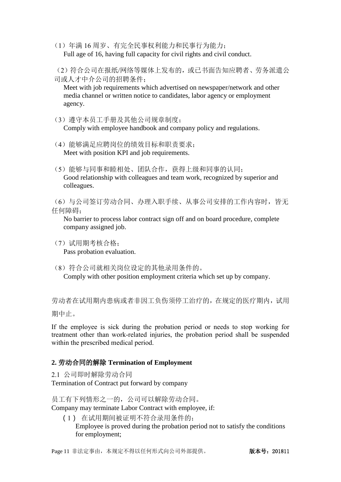- (1)年满 16 周岁、有完全民事权利能力和民事行为能力; Full age of 16, having full capacity for civil rights and civil conduct.
- (2)符合公司在报纸/网络等媒体上发布的,或已书面告知应聘者、劳务派遣公 司或人才中介公司的招聘条件;

Meet with job requirements which advertised on newspaper/network and other media channel or written notice to candidates, labor agency or employment agency.

- (3)遵守本员工手册及其他公司规章制度; Comply with employee handbook and company policy and regulations.
- (4)能够满足应聘岗位的绩效目标和职责要求; Meet with position KPI and job requirements.
- (5)能够与同事和睦相处、团队合作,获得上级和同事的认同; Good relationship with colleagues and team work, recognized by superior and colleagues.

(6)与公司签订劳动合同、办理入职手续、从事公司安排的工作内容时,皆无 任何障碍;

No barrier to process labor contract sign off and on board procedure, complete company assigned job.

- (7)试用期考核合格; Pass probation evaluation.
- (8)符合公司就相关岗位设定的其他录用条件的。 Comply with other position employment criteria which set up by company.

劳动者在试用期内患病或者非因工负伤须停工治疗的,在规定的医疗期内,试用 期中止。

If the employee is sick during the probation period or needs to stop working for treatment other than work-related injuries, the probation period shall be suspended

# **2.** 劳动合同的解除 **Termination of Employment**

within the prescribed medical period.

2.1 公司即时解除劳动合同 Termination of Contract put forward by company

员工有下列情形之一的,公司可以解除劳动合同。 Company may terminate Labor Contract with employee, if:

(1) 在试用期间被证明不符合录用条件的; Employee is proved during the probation period not to satisfy the conditions for employment;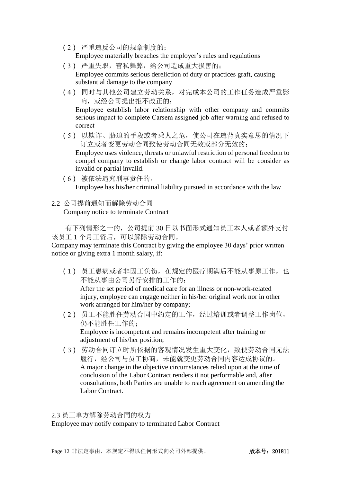(2) 严重违反公司的规章制度的;

Employee materially breaches the employer's rules and regulations

- (3) 严重失职,营私舞弊,给公司造成重大损害的; Employee commits serious dereliction of duty or practices graft, causing substantial damage to the company
- (4) 同时与其他公司建立劳动关系,对完成本公司的工作任务造成严重影 响,或经公司提出拒不改正的;

Employee establish labor relationship with other company and commits serious impact to complete Carsem assigned job after warning and refused to correct

(5) 以欺诈、胁迫的手段或者乘人之危,使公司在违背真实意思的情况下 订立或者变更劳动合同致使劳动合同无效或部分无效的;

Employee uses violence, threats or unlawful restriction of personal freedom to compel company to establish or change labor contract will be consider as invalid or partial invalid.

- (6) 被依法追究刑事责任的。 Employee has his/her criminal liability pursued in accordance with the law
- 2.2 公司提前通知而解除劳动合同

Company notice to terminate Contract

有下列情形之一的,公司提前 30 日以书面形式通知员工本人或者额外支付 该员工 1 个月工资后,可以解除劳动合同。

Company may terminate this Contract by giving the employee 30 days' prior written notice or giving extra 1 month salary, if:

- (1) 员工患病或者非因工负伤,在规定的医疗期满后不能从事原工作,也 不能从事由公司另行安排的工作的; After the set period of medical care for an illness or non-work-related injury, employee can engage neither in his/her original work nor in other work arranged for him/her by company;
- (2) 员工不能胜任劳动合同中约定的工作,经过培训或者调整工作岗位, 仍不能胜任工作的; Employee is incompetent and remains incompetent after training or adjustment of his/her position;
- (3) 劳动合同订立时所依据的客观情况发生重大变化,致使劳动合同无法 履行,经公司与员工协商,未能就变更劳动合同内容达成协议的。 A major change in the objective circumstances relied upon at the time of conclusion of the Labor Contract renders it not performable and, after consultations, both Parties are unable to reach agreement on amending the Labor Contract.

2.3 员工单方解除劳动合同的权力 Employee may notify company to terminated Labor Contract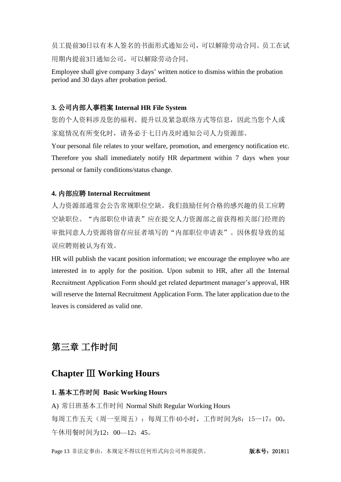员工提前30日以有本人签名的书面形式通知公司,可以解除劳动合同。员工在试 用期内提前3日通知公司,可以解除劳动合同。

Employee shall give company 3 days' written notice to dismiss within the probation period and 30 days after probation period.

#### **3.** 公司内部人事档案 **Internal HR File System**

您的个人资料涉及您的福利、提升以及紧急联络方式等信息,因此当您个人或 家庭情况有所变化时,请务必于七日内及时通知公司人力资源部。

Your personal file relates to your welfare, promotion, and emergency notification etc. Therefore you shall immediately notify HR department within 7 days when your personal or family conditions/status change.

#### **4.** 内部应聘 **Internal Recruitment**

人力资源部通常会公告常规职位空缺。我们鼓励任何合格的感兴趣的员工应聘 空缺职位。"内部职位申请表"应在提交人力资源部之前获得相关部门经理的 审批同意人力资源将留存应征者填写的"内部职位申请表"。因休假导致的延 误应聘则被认为有效。

HR will publish the vacant position information; we encourage the employee who are interested in to apply for the position. Upon submit to HR, after all the Internal Recruitment Application Form should get related department manager's approval, HR will reserve the Internal Recruitment Application Form. The later application due to the leaves is considered as valid one.

# <span id="page-12-0"></span>第三章 工作时间

# **Chapter** Ⅲ **Working Hours**

#### **1.** 基本工作时间 **Basic Working Hours**

A) 常日班基本工作时间 Normal Shift Regular Working Hours 每周工作五天(周一至周五): 每周工作40小时, 工作时间为8: 15—17: 00, 午休用餐时间为12:00—12:45。

Page 13 非法定事由,本规定不得以任何形式向公司外部提供。 版本号:201811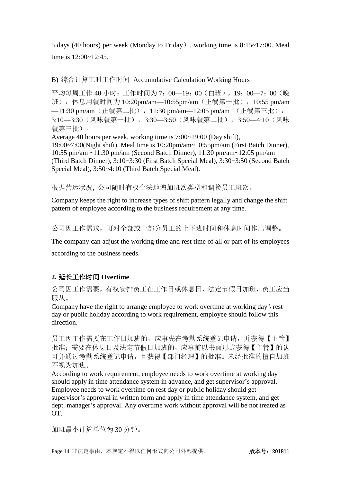5 days (40 hours) per week (Monday to Friday), working time is 8:15~17:00. Meal time is 12:00~12:45.

### B) 综合计算工时工作时间 Accumulative Calculation Working Hours

平均每周工作 40 小时:工作时间为 7:00—19:00 (白班), 19:00—7:00 (晚 班), 休息用餐时间为 10:20pm/am—10:55pm/am(正餐第一批), 10:55 pm/am —11:30 pm/am (正餐第二批), 11:30 pm/am—12:05 pm/am (正餐第三批), 3:10—3:30(风味餐第一批),3:30—3:50(风味餐第二批),3:50—4:10(风味 餐第三批)。 Average 40 hours per week, working time is 7:00~19:00 (Day shift),

19:00~7:00(Night shift). Meal time is 10:20pm/am~10:55pm/am (First Batch Dinner), 10:55 pm/am ~11:30 pm/am (Second Batch Dinner), 11:30 pm/am~12:05 pm/am (Third Batch Dinner), 3:10~3:30 (First Batch Special Meal), 3:30~3:50 (Second Batch Special Meal), 3:50~4:10 (Third Batch Special Meal).

根据营运状况, 公司随时有权合法地增加班次类型和调换员工班次。

Company keeps the right to increase types of shift pattern legally and change the shift pattern of employee according to the business requirement at any time.

公司因工作需求,可对全部或一部分员工的上下班时间和休息时间作出调整。

The company can adjust the working time and rest time of all or part of its employees according to the business needs.

### **2.** 延长工作时间 **Overtime**

公司因工作需要,有权安排员工在工作日或休息日、法定节假日加班,员工应当 服从。

Company have the right to arrange employee to work overtime at working day \ rest day or public holiday according to work requirement, employee should follow this direction.

员工因工作需要在工作日加班的,应事先在考勤系统登记申请,并获得【主管】 批准;需要在休息日及法定节假日加班的,应事前以书面形式获得【主管】的认 可并通过考勤系统登记申请,且获得【部门经理】的批准。未经批准的擅自加班 不视为加班。

According to work requirement, employee needs to work overtime at working day should apply in time attendance system in advance, and get supervisor's approval. Employee needs to work overtime on rest day or public holiday should get supervisor's approval in written form and apply in time attendance system, and get dept. manager's approval. Any overtime work without approval will be not treated as OT.

加班最小计算单位为 30 分钟。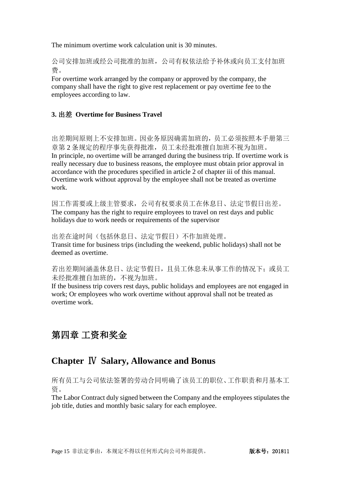The minimum overtime work calculation unit is 30 minutes.

公司安排加班或经公司批准的加班,公司有权依法给予补休或向员工支付加班 费。

For overtime work arranged by the company or approved by the company, the company shall have the right to give rest replacement or pay overtime fee to the employees according to law.

### **3.** 出差 **Overtime for Business Travel**

出差期间原则上不安排加班。因业务原因确需加班的,员工必须按照本手册第三 章第 2 条规定的程序事先获得批准,员工未经批准擅自加班不视为加班。 In principle, no overtime will be arranged during the business trip. If overtime work is really necessary due to business reasons, the employee must obtain prior approval in accordance with the procedures specified in article 2 of chapter iii of this manual. Overtime work without approval by the employee shall not be treated as overtime work.

因工作需要或上级主管要求,公司有权要求员工在休息日、法定节假日出差。 The company has the right to require employees to travel on rest days and public holidays due to work needs or requirements of the supervisor

出差在途时间(包括休息日、法定节假日)不作加班处理。 Transit time for business trips (including the weekend, public holidays) shall not be deemed as overtime.

若出差期间涵盖休息日、法定节假日,且员工休息未从事工作的情况下;或员工 未经批准擅自加班的,不视为加班。

If the business trip covers rest days, public holidays and employees are not engaged in work; Or employees who work overtime without approval shall not be treated as overtime work.

# 第四章 工资和奖金

# **Chapter** Ⅳ **Salary, Allowance and Bonus**

所有员工与公司依法签署的劳动合同明确了该员工的职位、工作职责和月基本工 资。

The Labor Contract duly signed between the Company and the employees stipulates the job title, duties and monthly basic salary for each employee.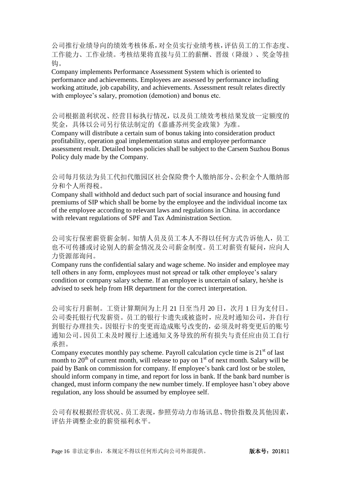公司推行业绩导向的绩效考核体系,对全员实行业绩考核,评估员工的工作态度、 工作能力、工作业绩。考核结果将直接与员工的薪酬、晋级(降级)、奖金等挂 钩。

Company implements Performance Assessment System which is oriented to performance and achievements. Employees are assessed by performance including working attitude, job capability, and achievements. Assessment result relates directly with employee's salary, promotion (demotion) and bonus etc.

公司根据盈利状况、经营目标执行情况,以及员工绩效考核结果发放一定额度的 奖金,具体以公司另行依法制定的《嘉盛苏州奖金政策》为准。

Company will distribute a certain sum of bonus taking into consideration product profitability, operation goal implementation status and employee performance assessment result. Detailed bones policies shall be subject to the Carsem Suzhou Bonus Policy duly made by the Company.

公司每月依法为员工代扣代缴园区社会保险费个人缴纳部分、公积金个人缴纳部 分和个人所得税。

Company shall withhold and deduct such part of social insurance and housing fund premiums of SIP which shall be borne by the employee and the individual income tax of the employee according to relevant laws and regulations in China. in accordance with relevant regulations of SPF and Tax Administration Section.

公司实行保密薪资薪金制。知情人员及员工本人不得以任何方式告诉他人,员工 也不可传播或讨论别人的薪金情况及公司薪金制度。员工对薪资有疑问,应向人 力资源部询问。

Company runs the confidential salary and wage scheme. No insider and employee may tell others in any form, employees must not spread or talk other employee's salary condition or company salary scheme. If an employee is uncertain of salary, he/she is advised to seek help from HR department for the correct interpretation.

公司实行月薪制。工资计算期间为上月 21 日至当月 20 日, 次月 1 日为支付日。 公司委托银行代发薪资。员工的银行卡遗失或被盗时,应及时通知公司,并自行 到银行办理挂失。因银行卡的变更而造成账号改变的,必须及时将变更后的账号 通知公司。因员工未及时履行上述通知义务导致的所有损失与责任应由员工自行 承担。

Company executes monthly pay scheme. Payroll calculation cycle time is  $21<sup>st</sup>$  of last month to  $20<sup>th</sup>$  of current month, will release to pay on  $1<sup>st</sup>$  of next month. Salary will be paid by Bank on commission for company. If employee's bank card lost or be stolen, should inform company in time, and report for loss in bank. If the bank bard number is changed, must inform company the new number timely. If employee hasn't obey above regulation, any loss should be assumed by employee self.

公司有权根据经营状况、员工表现,参照劳动力市场讯息、物价指数及其他因素, 评估并调整企业的薪资福利水平。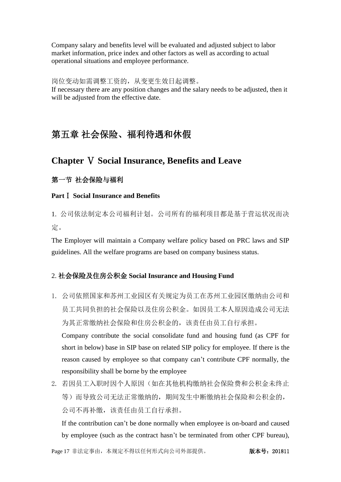Company salary and benefits level will be evaluated and adjusted subject to labor market information, price index and other factors as well as according to actual operational situations and employee performance.

#### 岗位变动如需调整工资的,从变更生效日起调整。

If necessary there are any position changes and the salary needs to be adjusted, then it will be adjusted from the effective date.

# 第五章 社会保险、福利待遇和休假

# **Chapter** Ⅴ **Social Insurance, Benefits and Leave**

### 第一节 社会保险与福利

### **Part**Ⅰ **Social Insurance and Benefits**

1. 公司依法制定本公司福利计划。公司所有的福利项目都是基于营运状况而决 定。

The Employer will maintain a Company welfare policy based on PRC laws and SIP guidelines. All the welfare programs are based on company business status.

### 2. 社会保险及住房公积金 **Social Insurance and Housing Fund**

1. 公司依照国家和苏州工业园区有关规定为员工在苏州工业园区缴纳由公司和 员工共同负担的社会保险以及住房公积金。如因员工本人原因造成公司无法 为其正常缴纳社会保险和住房公积金的,该责任由员工自行承担。 Company contribute the social consolidate fund and housing fund (as CPF for short in below) base in SIP base on related SIP policy for employee. If there is the

reason caused by employee so that company can't contribute CPF normally, the responsibility shall be borne by the employee

2. 若因员工入职时因个人原因(如在其他机构缴纳社会保险费和公积金未终止 等)而导致公司无法正常缴纳的,期间发生中断缴纳社会保险和公积金的, 公司不再补缴,该责任由员工自行承担。

If the contribution can't be done normally when employee is on-board and caused by employee (such as the contract hasn't be terminated from other CPF bureau),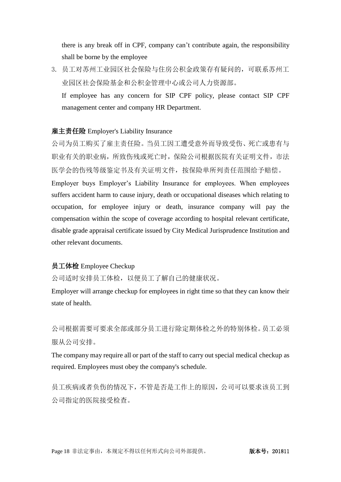there is any break off in CPF, company can't contribute again, the responsibility shall be borne by the employee

3. 员工对苏州工业园区社会保险与住房公积金政策存有疑问的,可联系苏州工 业园区社会保险基金和公积金管理中心或公司人力资源部。 If employee has any concern for SIP CPF policy, please contact SIP CPF

management center and company HR Department.

### 雇主责任险 Employer's Liability Insurance

公司为员工购买了雇主责任险。当员工因工遭受意外而导致受伤、死亡或患有与 职业有关的职业病,所致伤残或死亡时,保险公司根据医院有关证明文件,市法 医学会的伤残等级鉴定书及有关证明文件,按保险单所列责任范围给予赔偿。 Employer buys Employer's Liability Insurance for employees. When employees suffers accident harm to cause injury, death or occupational diseases which relating to occupation, for employee injury or death, insurance company will pay the compensation within the scope of coverage according to hospital relevant certificate, disable grade appraisal certificate issued by City Medical Jurisprudence Institution and other relevant documents.

### 员工体检 Employee Checkup

公司适时安排员工体检,以便员工了解自己的健康状况。

Employer will arrange checkup for employees in right time so that they can know their state of health.

公司根据需要可要求全部或部分员工进行除定期体检之外的特别体检。员工必须 服从公司安排。

The company may require all or part of the staff to carry out special medical checkup as required. Employees must obey the company's schedule.

员工疾病或者负伤的情况下,不管是否是工作上的原因,公司可以要求该员工到 公司指定的医院接受检查。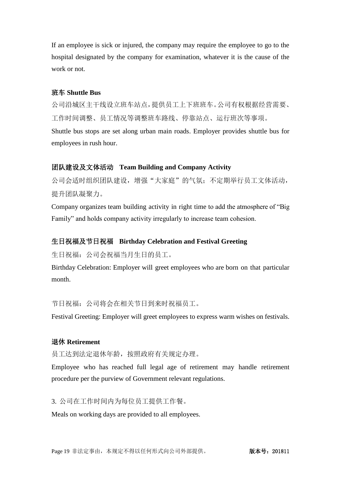<span id="page-18-0"></span>If an employee is sick or injured, the company may require the employee to go to the hospital designated by the company for examination, whatever it is the cause of the work or not.

### 班车 **Shuttle Bus**

公司沿城区主干线设立班车站点,提供员工上下班班车。公司有权根据经营需要、 工作时间调整、员工情况等调整班车路线、停靠站点、运行班次等事项。 Shuttle bus stops are set along urban main roads. Employer provides shuttle bus for employees in rush hour.

#### 团队建设及文体活动 **Team Building and Company Activity**

公司会适时组织团队建设,增强"大家庭"的气氛;不定期举行员工文体活动, 提升团队凝聚力。

Company organizes team building activity in right time to add the atmosphere of "Big Family" and holds company activity irregularly to increase team cohesion.

### 生日祝福及节日祝福 **Birthday Celebration and Festival Greeting**

生日祝福:公司会祝福当月生日的员工。

Birthday Celebration: Employer will greet employees who are born on that particular month.

节日祝福:公司将会在相关节日到来时祝福员工。

Festival Greeting: Employer will greet employees to express warm wishes on festivals.

#### 退休 **Retirement**

员工达到法定退休年龄,按照政府有关规定办理。

Employee who has reached full legal age of retirement may handle retirement procedure per the purview of Government relevant regulations.

3. 公司在工作时间内为每位员工提供工作餐。

Meals on working days are provided to all employees.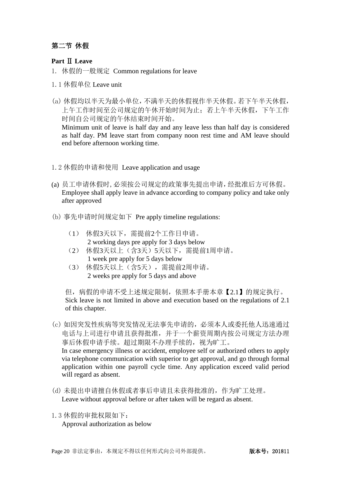### <span id="page-19-0"></span>第二节 休假

### **Part** Ⅱ **Leave**

- 1. 休假的一般规定 Common regulations for leave
- 1.1 休假单位 Leave unit
- (a) 休假均以半天为最小单位,不满半天的休假视作半天休假。若下午半天休假, 上午工作时间至公司规定的午休开始时间为止;若上午半天休假,下午工作 时间自公司规定的午休结束时间开始。

Minimum unit of leave is half day and any leave less than half day is considered as half day. PM leave start from company noon rest time and AM leave should end before afternoon working time.

- 1.2 休假的申请和使用 Leave application and usage
- (a) 员工申请休假时,必须按公司规定的政策事先提出申请,经批准后方可休假。 Employee shall apply leave in advance according to company policy and take only after approved
- (b) 事先申请时间规定如下 Pre apply timeline regulations:
	- (1) 休假3天以下,需提前2个工作日申请。 2 working days pre apply for 3 days below
	- (2) 休假3天以上(含3天)5天以下,需提前1周申请。 1 week pre apply for 5 days below
	- (3) 休假5天以上(含5天),需提前2周申请。 2 weeks pre apply for 5 days and above

但,病假的申请不受上述规定限制,依照本手册本章【2.1】的规定执行。 Sick leave is not limited in above and execution based on the regulations of 2.1 of this chapter.

- (c) 如因突发性疾病等突发情况无法事先申请的,必须本人或委托他人迅速通过 电话与上司进行申请且获得批准,并于一个薪资周期内按公司规定方法办理 事后休假申请手续。超过期限不办理手续的,视为旷工。 In case emergency illness or accident, employee self or authorized others to apply via telephone communication with superior to get approval, and go through formal application within one payroll cycle time. Any application exceed valid period will regard as absent.
- (d) 未提出申请擅自休假或者事后申请且未获得批准的,作为旷工处理。 Leave without approval before or after taken will be regard as absent.
- 1.3 休假的审批权限如下: Approval authorization as below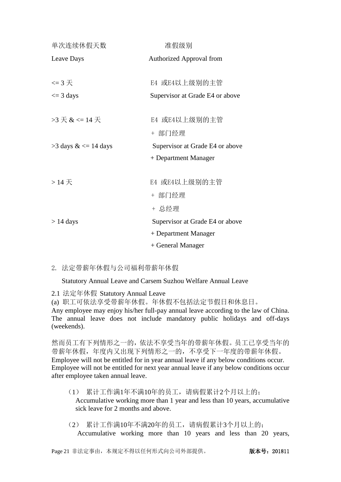| 单次连续休假天数                          | 准假级别                            |  |  |  |
|-----------------------------------|---------------------------------|--|--|--|
| Leave Days                        | Authorized Approval from        |  |  |  |
|                                   |                                 |  |  |  |
| $\leq$ 3 $\overline{\mathcal{F}}$ | E4 或E4以上级别的主管                   |  |  |  |
| $\leq$ 3 days                     | Supervisor at Grade E4 or above |  |  |  |
|                                   |                                 |  |  |  |
| $>3 \frac{1}{10}$ & <= 14 天       | E4 或E4以上级别的主管                   |  |  |  |
|                                   | + 部门经理                          |  |  |  |
| $>$ 3 days & $\lt$ = 14 days      | Supervisor at Grade E4 or above |  |  |  |
|                                   | + Department Manager            |  |  |  |
|                                   |                                 |  |  |  |
| $>14\frac{1}{15}$                 | E4 或E4以上级别的主管                   |  |  |  |
|                                   | + 部门经理                          |  |  |  |
|                                   | + 总经理                           |  |  |  |
| $> 14$ days                       | Supervisor at Grade E4 or above |  |  |  |
|                                   | + Department Manager            |  |  |  |
|                                   | + General Manager               |  |  |  |

2. 法定带薪年休假与公司福利带薪年休假

Statutory Annual Leave and Carsem Suzhou Welfare Annual Leave

2.1 法定年休假 Statutory Annual Leave

(a) 职工可依法享受带薪年休假。年休假不包括法定节假日和休息日。 Any employee may enjoy his/her full-pay annual leave according to the law of China. The annual leave does not include mandatory public holidays and off-days (weekends).

然而员工有下列情形之一的,依法不享受当年的带薪年休假。员工已享受当年的 带薪年休假,年度内又出现下列情形之一的,不享受下一年度的带薪年休假。 Employee will not be entitled for in year annual leave if any below conditions occur. Employee will not be entitled for next year annual leave if any below conditions occur after employee taken annual leave.

- (1) 累计工作满1年不满10年的员工,请病假累计2个月以上的; Accumulative working more than 1 year and less than 10 years, accumulative sick leave for 2 months and above.
- (2) 累计工作满10年不满20年的员工,请病假累计3个月以上的; Accumulative working more than 10 years and less than 20 years,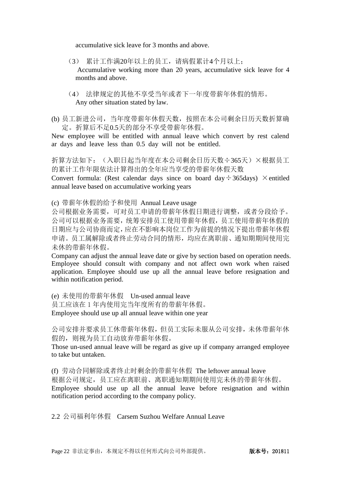accumulative sick leave for 3 months and above.

- (3) 累计工作满20年以上的员工,请病假累计4个月以上; Accumulative working more than 20 years, accumulative sick leave for 4 months and above.
- (4) 法律规定的其他不享受当年或者下一年度带薪年休假的情形。 Any other situation stated by law.
- (b) 员工新进公司,当年度带薪年休假天数,按照在本公司剩余日历天数折算确 定。折算后不足0.5天的部分不享受带薪年休假。

New employee will be entitled with annual leave which convert by rest calend ar days and leave less than 0.5 day will not be entitled.

折算方法如下: (入职日起当年度在本公司剩余日历天数÷365天)×根据员工 的累计工作年限依法计算得出的全年应当享受的带薪年休假天数

Convert formula: (Rest calendar days since on board day  $\div$  365days)  $\times$  entitled annual leave based on accumulative working years

(c) 带薪年休假的给予和使用 Annual Leave usage

公司根据业务需要,可对员工申请的带薪年休假日期进行调整,或者分段给予。 公司可以根据业务需要,统筹安排员工使用带薪年休假,员工使用带薪年休假的 日期应与公司协商而定,应在不影响本岗位工作为前提的情况下提出带薪年休假 申请。员工属解除或者终止劳动合同的情形,均应在离职前、通知期期间使用完 未休的带薪年休假。

Company can adjust the annual leave date or give by section based on operation needs. Employee should consult with company and not affect own work when raised application. Employee should use up all the annual leave before resignation and within notification period.

(e) 未使用的带薪年休假 Un-used annual leave 员工应该在 1 年内使用完当年度所有的带薪年休假。 Employee should use up all annual leave within one year

公司安排并要求员工休带薪年休假,但员工实际未服从公司安排,未休带薪年休 假的,则视为员工自动放弃带薪年休假。

Those un-used annual leave will be regard as give up if company arranged employee to take but untaken.

(f) 劳动合同解除或者终止时剩余的带薪年休假 The leftover annual leave 根据公司规定,员工应在离职前、离职通知期期间使用完未休的带薪年休假。 Employee should use up all the annual leave before resignation and within notification period according to the company policy.

2.2 公司福利年休假 Carsem Suzhou Welfare Annual Leave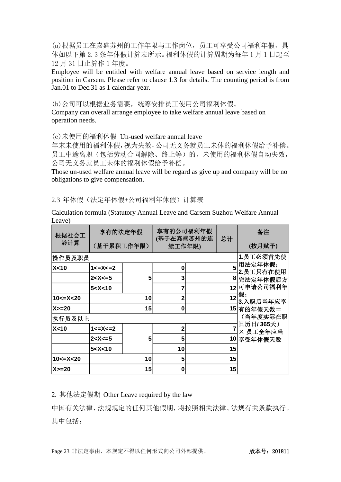(a)根据员工在嘉盛苏州的工作年限与工作岗位,员工可享受公司福利年假,具 体如以下第 2.3 条年休假计算表所示。福利休假的计算周期为每年 1 月 1 日起至 12 月 31 日止算作 1 年度。

Employee will be entitled with welfare annual leave based on service length and position in Carsem. Please refer to clause 1.3 for details. The counting period is from Jan.01 to Dec.31 as 1 calendar year.

(b)公司可以根据业务需要,统筹安排员工使用公司福利休假。

Company can overall arrange employee to take welfare annual leave based on operation needs.

(c)未使用的福利休假 Un-used welfare annual leave

年末未使用的福利休假,视为失效,公司无义务就员工未休的福利休假给予补偿。 员工中途离职(包括劳动合同解除、终止等)的,未使用的福利休假自动失效, 公司无义务就员工未休的福利休假给予补偿。

Those un-used welfare annual leave will be regard as give up and company will be no obligations to give compensation.

2.3 年休假(法定年休假+公司福利年休假)计算表

Calculation formula (Statutory Annual Leave and Carsem Suzhou Welfare Annual Leave)

| 根据社会工<br>龄计算        | 享有的法定年假<br>(基于累积工作年限) |    | 享有的公司福利年假<br>(基于在嘉盛苏州的连<br>续工作年限) |  | 总计 | 备注<br>(按月赋予)          |
|---------------------|-----------------------|----|-----------------------------------|--|----|-----------------------|
| 操作员及职员              |                       |    |                                   |  |    | 1.员工必须首先使             |
| X<10                | $1 < = X < 2$         |    | 0                                 |  |    | 5用法定年休假;<br>2.员工只有在使用 |
|                     | $2 < X < = 5$         | 5  | 3                                 |  |    | 8 完法定年休假后方            |
|                     | 5 < X < 10            |    |                                   |  |    | 12 可申请公司福利年           |
| $10 < = X < 20$     |                       | 10 | $\mathbf{2}$                      |  | 12 | 假,<br>3.入职后当年应享       |
| $X>=20$             |                       | 15 | 0                                 |  |    | 15 有的年假天数=            |
| (当年度实际在职<br> 执行员及以上 |                       |    |                                   |  |    |                       |
| X<10                | $1 < = X < = 2$       |    | $\mathbf{2}$                      |  |    | 日历日/365天)<br>× 员工全年应当 |
|                     | 2 < X < 5             | 5  | 5                                 |  |    | 10 享受年休假天数            |
|                     | 5 < X < 10            |    | 10                                |  | 15 |                       |
| $10 < = X < 20$     |                       | 10 | 5                                 |  | 15 |                       |
| $X>=20$             |                       | 15 | 0                                 |  | 15 |                       |

2. 其他法定假期 Other Leave required by the law

中国有关法律、法规规定的任何其他假期,将按照相关法律、法规有关条款执行。 其中包括: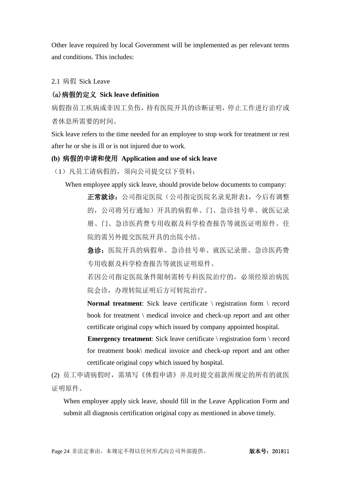Other leave required by local Government will be implemented as per relevant terms and conditions. This includes:

2.1 病假 Sick Leave

### (a)病假的定义 **Sick leave definition**

病假指员工疾病或非因工负伤,持有医院开具的诊断证明,停止工作进行治疗或 者休息所需要的时间。

Sick leave refers to the time needed for an employee to stop work for treatment or rest after he or she is ill or is not injured due to work.

#### **(b)** 病假的申请和使用 **Application and use of sick leave**

(1)凡员工请病假的,须向公司提交以下资料:

When employee apply sick leave, should provide below documents to company:

正常就诊:公司指定医院名录见附表1,今后有调整 的,公司将另行通知)开具的病假单、门、急诊挂号单、就医记录 册、门、急诊医药费专用收据及科学检查报告等就医证明原件。住 院的需另外提交医院开具的出院小结。

急诊:医院开具的病假单、急诊挂号单、就医记录册、急诊医药费 专用收据及科学检查报告等就医证明原件。

若因公司指定医院条件限制需转专科医院治疗的,必须经原治病医 院会诊,办理转院证明后方可转院治疗。

**Normal treatment**: Sick leave certificate \ registration form \ record book for treatment \ medical invoice and check-up report and ant other certificate original copy which issued by company appointed hospital.

**Emergency treatment:** Sick leave certificate \ registration form \ record for treatment book\ medical invoice and check-up report and ant other certificate original copy which issued by hospital.

(2) 员工申请病假时,需填写《休假申请》并及时提交前款所规定的所有的就医 证明原件。

When employee apply sick leave, should fill in the Leave Application Form and submit all diagnosis certification original copy as mentioned in above timely.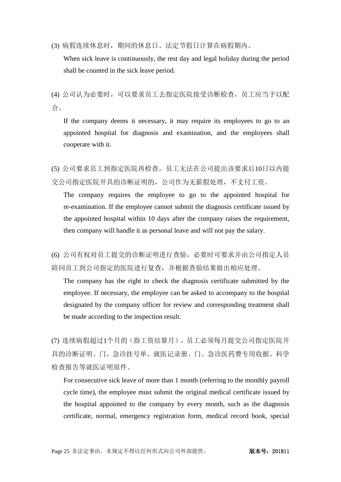(3) 病假连续休息时,期间的休息日、法定节假日计算在病假期内。

When sick leave is continuously, the rest day and legal holiday during the period shall be counted in the sick leave period.

(4) 公司认为必要时,可以要求员工去指定医院接受诊断检查,员工应当予以配 合。

If the company deems it necessary, it may require its employees to go to an appointed hospital for diagnosis and examination, and the employees shall cooperate with it.

(5) 公司要求员工到指定医院再检查,员工无法在公司提出该要求后10日以内提 交公司指定医院开具的诊断证明的,公司作为无薪假处理,不支付工资。

The company requires the employee to go to the appointed hospital for re-examination. If the employee cannot submit the diagnosis certificate issued by the appointed hospital within 10 days after the company raises the requirement, then company will handle it as personal leave and will not pay the salary.

(6) 公司有权对员工提交的诊断证明进行查验,必要时可要求并由公司指定人员 陪同员工到公司指定的医院进行复查,并根据查验结果做出相应处理。

The company has the right to check the diagnosis certificate submitted by the employee. If necessary, the employee can be asked to accompany to the hospital designated by the company officer for review and corresponding treatment shall be made according to the inspection result.

(7) 连续病假超过1个月的(指工资结算月),员工必须每月提交公司指定医院开 具的诊断证明、门、急诊挂号单、就医记录册、门、急诊医药费专用收据、科学 检查报告等就医证明原件。

For consecutive sick leave of more than 1 month (referring to the monthly payroll cycle time), the employee must submit the original medical certificate issued by the hospital appointed to the company by every month, such as the diagnosis certificate, normal, emergency registration form, medical record book, special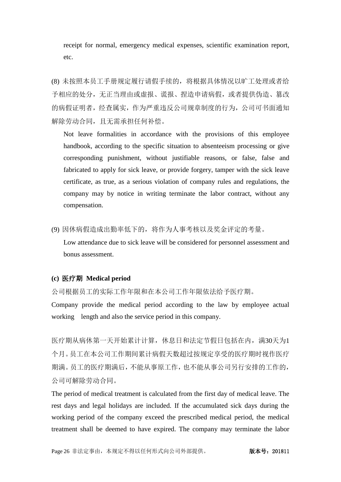receipt for normal, emergency medical expenses, scientific examination report, etc.

(8) 未按照本员工手册规定履行请假手续的,将根据具体情况以旷工处理或者给 予相应的处分,无正当理由或虚报、谎报、捏造申请病假,或者提供伪造、篡改 的病假证明者,经查属实,作为严重违反公司规章制度的行为,公司可书面通知 解除劳动合同,且无需承担任何补偿。

Not leave formalities in accordance with the provisions of this employee handbook, according to the specific situation to absenteeism processing or give corresponding punishment, without justifiable reasons, or false, false and fabricated to apply for sick leave, or provide forgery, tamper with the sick leave certificate, as true, as a serious violation of company rules and regulations, the company may by notice in writing terminate the labor contract, without any compensation.

(9) 因休病假造成出勤率低下的,将作为人事考核以及奖金评定的考量。

Low attendance due to sick leave will be considered for personnel assessment and bonus assessment.

#### **(c)** 医疗期 **Medical period**

公司根据员工的实际工作年限和在本公司工作年限依法给予医疗期。

Company provide the medical period according to the law by employee actual working length and also the service period in this company.

医疗期从病休第一天开始累计计算,休息日和法定节假日包括在内,满30天为1 个月。员工在本公司工作期间累计病假天数超过按规定享受的医疗期时视作医疗 期满。员工的医疗期满后,不能从事原工作,也不能从事公司另行安排的工作的, 公司可解除劳动合同。

The period of medical treatment is calculated from the first day of medical leave. The rest days and legal holidays are included. If the accumulated sick days during the working period of the company exceed the prescribed medical period, the medical treatment shall be deemed to have expired. The company may terminate the labor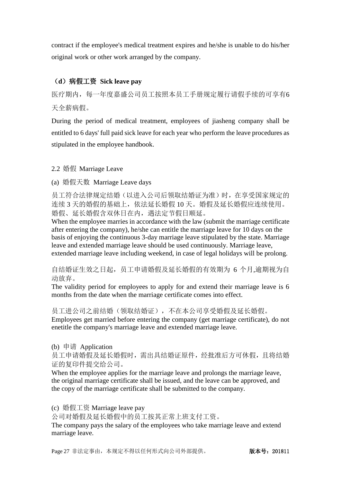contract if the employee's medical treatment expires and he/she is unable to do his/her original work or other work arranged by the company.

# (**d**)病假工资 **Sick leave pay**

医疗期内,每一年度嘉盛公司员工按照本员工手册规定履行请假手续的可享有6 天全薪病假。

During the period of medical treatment, employees of jiasheng company shall be entitled to 6 days' full paid sick leave for each year who perform the leave procedures as stipulated in the employee handbook.

### 2.2 婚假 Marriage Leave

(a) 婚假天数 Marriage Leave days

员工符合法律规定结婚(以进入公司后领取结婚证为准)时, 在享受国家规定的 连续 3 天的婚假的基础上,依法延长婚假 10 天。婚假及延长婚假应连续使用。 婚假、延长婚假含双休日在内,遇法定节假日顺延。

When the employee marries in accordance with the law (submit the marriage certificate after entering the company), he/she can entitle the marriage leave for 10 days on the basis of enjoying the continuous 3-day marriage leave stipulated by the state. Marriage leave and extended marriage leave should be used continuously. Marriage leave, extended marriage leave including weekend, in case of legal holidays will be prolong.

自结婚证生效之日起,员工申请婚假及延长婚假的有效期为 6 个月,逾期视为自 动放弃。

The validity period for employees to apply for and extend their marriage leave is 6 months from the date when the marriage certificate comes into effect.

员工进公司之前结婚(领取结婚证),不在本公司享受婚假及延长婚假。 Employees get married before entering the company (get marriage certificate), do not enetitle the company's marriage leave and extended marriage leave.

(b) 申请 Application

员工申请婚假及延长婚假时,需出具结婚证原件,经批准后方可休假,且将结婚 证的复印件提交给公司。

When the employee applies for the marriage leave and prolongs the marriage leave, the original marriage certificate shall be issued, and the leave can be approved, and the copy of the marriage certificate shall be submitted to the company.

(c) 婚假工资 Marriage leave pay

公司对婚假及延长婚假中的员工按其正常上班支付工资。

The company pays the salary of the employees who take marriage leave and extend marriage leave.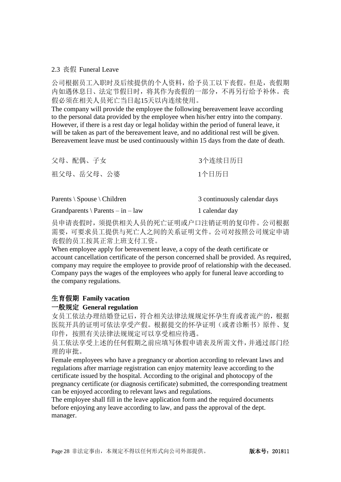#### 2.3 丧假 Funeral Leave

公司根据员工入职时及后续提供的个人资料,给予员工以下丧假。但是,丧假期 内如遇休息日、法定节假日时,将其作为丧假的一部分,不再另行给予补休。丧 假必须在相关人员死亡当日起15天以内连续使用。

The company will provide the employee the following bereavement leave according to the personal data provided by the employee when his/her entry into the company. However, if there is a rest day or legal holiday within the period of funeral leave, it will be taken as part of the bereavement leave, and no additional rest will be given. Bereavement leave must be used continuously within 15 days from the date of death.

| 父母、配偶、子女   | 3个连续日历日 |
|------------|---------|
| 祖父母、岳父母、公婆 | 1个日历日   |

| Parents $\setminus$ Spouse $\setminus$ Children | 3 continuously calendar days |
|-------------------------------------------------|------------------------------|
| Grandparents $\angle$ Parents – in – law        | 1 calendar day               |

员申请丧假时,须提供相关人员的死亡证明或户口注销证明的复印件。公司根据 需要,可要求员工提供与死亡人之间的关系证明文件。公司对按照公司规定申请 丧假的员工按其正常上班支付工资。

When employee apply for bereavement leave, a copy of the death certificate or account cancellation certificate of the person concerned shall be provided. As required, company may require the employee to provide proof of relationship with the deceased. Company pays the wages of the employees who apply for funeral leave according to the company regulations.

### 生育假期 **Family vacation**

### 一般规定 **General regulation**

女员工依法办理结婚登记后,符合相关法律法规规定怀孕生育或者流产的,根据 医院开具的证明可依法享受产假。根据提交的怀孕证明(或者诊断书)原件、复 印件,按照有关法律法规规定可以享受相应待遇。

员工依法享受上述的任何假期之前应填写休假申请表及所需文件,并通过部门经 理的审批。

Female employees who have a pregnancy or abortion according to relevant laws and regulations after marriage registration can enjoy maternity leave according to the certificate issued by the hospital. According to the original and photocopy of the pregnancy certificate (or diagnosis certificate) submitted, the corresponding treatment can be enjoyed according to relevant laws and regulations.

The employee shall fill in the leave application form and the required documents before enjoying any leave according to law, and pass the approval of the dept. manager.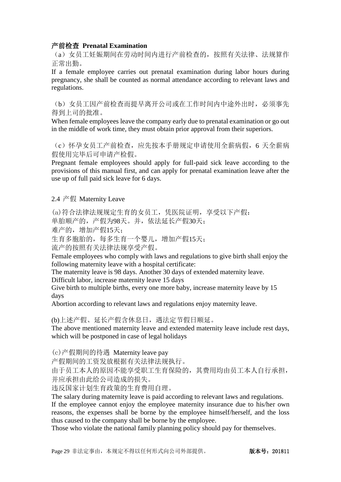#### 产前检查 **Prenatal Examination**

(a)女员工妊娠期间在劳动时间内进行产前检查的,按照有关法律、法规算作 正常出勤。

If a female employee carries out prenatal examination during labor hours during pregnancy, she shall be counted as normal attendance according to relevant laws and regulations.

(b)女员工因产前检查而提早离开公司或在工作时间内中途外出时,必须事先 得到上司的批准。

When female employees leave the company early due to prenatal examination or go out in the middle of work time, they must obtain prior approval from their superiors.

(c)怀孕女员工产前检查,应先按本手册规定申请使用全薪病假,6 天全薪病 假使用完毕后可申请产检假。

Pregnant female employees should apply for full-paid sick leave according to the provisions of this manual first, and can apply for prenatal examination leave after the use up of full paid sick leave for 6 days.

2.4 产假 Maternity Leave

(a)符合法律法规规定生育的女员工,凭医院证明,享受以下产假:

单胎顺产的,产假为98天。并,依法延长产假30天;

难产的,增加产假15天;

生育多胞胎的,每多生育一个婴儿,增加产假15天;

流产的按照有关法律法规享受产假。

Female employees who comply with laws and regulations to give birth shall enjoy the following maternity leave with a hospital certificate:

The maternity leave is 98 days. Another 30 days of extended maternity leave.

Difficult labor, increase maternity leave 15 days

Give birth to multiple births, every one more baby, increase maternity leave by 15 days

Abortion according to relevant laws and regulations enjoy maternity leave.

(b)上述产假、延长产假含休息日,遇法定节假日顺延。

The above mentioned maternity leave and extended maternity leave include rest days, which will be postponed in case of legal holidays

(c)产假期间的待遇 Maternity leave pay

产假期间的工资发放根据有关法律法规执行。

由于员工本人的原因不能享受职工生育保险的,其费用均由员工本人自行承担, 并应承担由此给公司造成的损失。

违反国家计划生育政策的生育费用自理。

The salary during maternity leave is paid according to relevant laws and regulations. If the employee cannot enjoy the employee maternity insurance due to his/her own reasons, the expenses shall be borne by the employee himself/herself, and the loss thus caused to the company shall be borne by the employee.

Those who violate the national family planning policy should pay for themselves.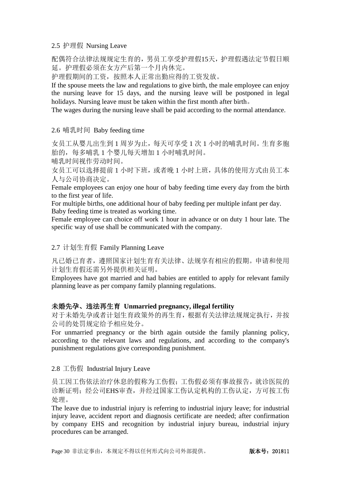### 2.5 护理假 Nursing Leave

配偶符合法律法规规定生育的,男员工享受护理假15天,护理假遇法定节假日顺 延。护理假必须在女方产后第一个月内休完。

护理假期间的工资,按照本人正常出勤应得的工资发放。

If the spouse meets the law and regulations to give birth, the male employee can enjoy the nursing leave for 15 days, and the nursing leave will be postponed in legal holidays. Nursing leave must be taken within the first month after birth。

The wages during the nursing leave shall be paid according to the normal attendance.

### 2.6 哺乳时间 Baby feeding time

女员工从婴儿出生到 1 周岁为止,每天可享受 1 次 1 小时的哺乳时间。生育多胞 胎的,每多哺乳 1 个婴儿每天增加 1 小时哺乳时间。

哺乳时间视作劳动时间。

女员工可以选择提前 1 小时下班,或者晚 1 小时上班,具体的使用方式由员工本 人与公司协商决定。

Female employees can enjoy one hour of baby feeding time every day from the birth to the first year of life.

For multiple births, one additional hour of baby feeding per multiple infant per day. Baby feeding time is treated as working time.

Female employee can choice off work 1 hour in advance or on duty 1 hour late. The specific way of use shall be communicated with the company.

### 2.7 计划生育假 Family Planning Leave

凡已婚已育者,遵照国家计划生育有关法律、法规享有相应的假期。申请和使用 计划生育假还需另外提供相关证明。

Employees have got married and had babies are entitled to apply for relevant family planning leave as per company family planning regulations.

### 未婚先孕、违法再生育 **Unmarried pregnancy, illegal fertility**

对于未婚先孕或者计划生育政策外的再生育,根据有关法律法规规定执行,并按 公司的处罚规定给予相应处分。

For unmarried pregnancy or the birth again outside the family planning policy, according to the relevant laws and regulations, and according to the company's punishment regulations give corresponding punishment.

#### 2.8 工伤假 Industrial Injury Leave

员工因工伤依法治疗休息的假称为工伤假;工伤假必须有事故报告,就诊医院的 诊断证明;经公司EHS审查,并经过国家工伤认定机构的工伤认定,方可按工伤 处理。

The leave due to industrial injury is referring to industrial injury leave; for industrial injury leave, accident report and diagnosis certificate are needed; after confirmation by company EHS and recognition by industrial injury bureau, industrial injury procedures can be arranged.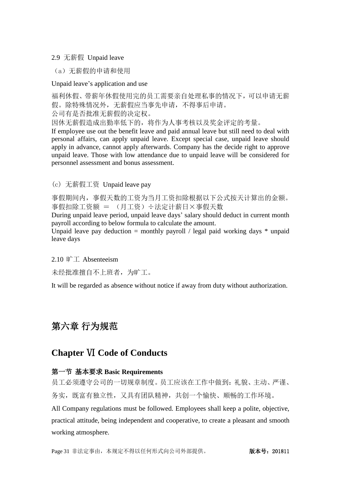### 2.9 无薪假 Unpaid leave

(a)无薪假的申请和使用

Unpaid leave's application and use

福利休假、带薪年休假使用完的员工需要亲自处理私事的情况下,可以申请无薪 假。除特殊情况外,无薪假应当事先申请,不得事后申请。

公司有是否批准无薪假的决定权。

因休无薪假造成出勤率低下的,将作为人事考核以及奖金评定的考量。

If employee use out the benefit leave and paid annual leave but still need to deal with personal affairs, can apply unpaid leave. Except special case, unpaid leave should apply in advance, cannot apply afterwards. Company has the decide right to approve unpaid leave. Those with low attendance due to unpaid leave will be considered for personnel assessment and bonus assessment.

(c) 无薪假工资 Unpaid leave pay

事假期间内,事假天数的工资为当月工资扣除根据以下公式按天计算出的金额。 事假扣除工资额 = (月工资)÷法定计薪日×事假天数

During unpaid leave period, unpaid leave days' salary should deduct in current month payroll according to below formula to calculate the amount.

Unpaid leave pay deduction  $=$  monthly payroll / legal paid working days  $*$  unpaid leave days

2.10 旷工 Absenteeism

未经批准擅自不上班者,为旷工。

It will be regarded as absence without notice if away from duty without authorization.

# <span id="page-30-0"></span>第六章 行为规范

# **Chapter** Ⅵ **Code of Conducts**

### <span id="page-30-1"></span>第一节 基本要求 **Basic Requirements**

员工必须遵守公司的一切规章制度。员工应该在工作中做到:礼貌、主动、严谨、 务实,既富有独立性,又具有团队精神,共创一个愉快、顺畅的工作环境。

All Company regulations must be followed. Employees shall keep a polite, objective, practical attitude, being independent and cooperative, to create a pleasant and smooth working atmosphere.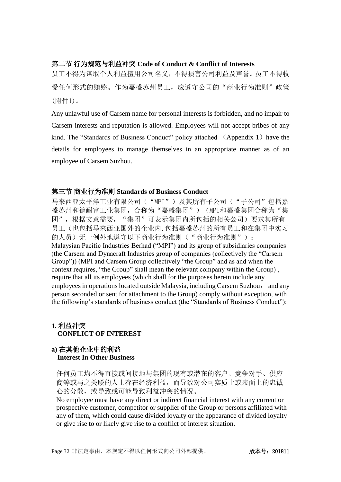### <span id="page-31-0"></span>第二节 行为规范与利益冲突 **Code of Conduct & Conflict of Interests**

员工不得为谋取个人利益擅用公司名义,不得损害公司利益及声誉。员工不得收 受任何形式的贿赂。作为嘉盛苏州员工,应遵守公司的"商业行为准则"政策 (附件1)。

Any unlawful use of Carsem name for personal interests is forbidden, and no impair to Carsem interests and reputation is allowed. Employees will not accept bribes of any kind. The "Standards of Business Conduct" policy attached (Appendix 1) have the details for employees to manage themselves in an appropriate manner as of an employee of Carsem Suzhou.

### <span id="page-31-1"></span>第三节 商业行为准则 **Standards of Business Conduct**

马来西亚太平洋工业有限公司("MPI")及其所有子公司("子公司"包括嘉 盛苏州和德耐富工业集团, 合称为"嘉盛集团") (MPI和嘉盛集团合称为"集 团",根据文意需要, "集团"可表示集团内所包括的相关公司)要求其所有 员工(也包括马来西亚国外的企业内,包括嘉盛苏州的所有员工和在集团中实习 的人员)无一例外地遵守以下商业行为准则("商业行为准则"): Malaysian Pacific Industries Berhad ("MPI") and its group of subsidiaries companies (the Carsem and Dynacraft Industries group of companies (collectively the "Carsem Group")) (MPI and Carsem Group collectively "the Group" and as and when the context requires, "the Group" shall mean the relevant company within the Group) , require that all its employees (which shall for the purposes herein include any employees in operations located outside Malaysia, including Carsem Suzhou, and any person seconded or sent for attachment to the Group) comply without exception, with the following's standards of business conduct (the "Standards of Business Conduct"):

### **1.** 利益冲突  **CONFLICT OF INTEREST**

### **a)** 在其他企业中的利益  **Interest In Other Business**

任何员工均不得直接或间接地与集团的现有或潜在的客户、竞争对手、供应 商等或与之关联的人士存在经济利益,而导致对公司实质上或表面上的忠诚 心的分散,或导致或可能导致利益冲突的情况。

No employee must have any direct or indirect financial interest with any current or prospective customer, competitor or supplier of the Group or persons affiliated with any of them, which could cause divided loyalty or the appearance of divided loyalty or give rise to or likely give rise to a conflict of interest situation.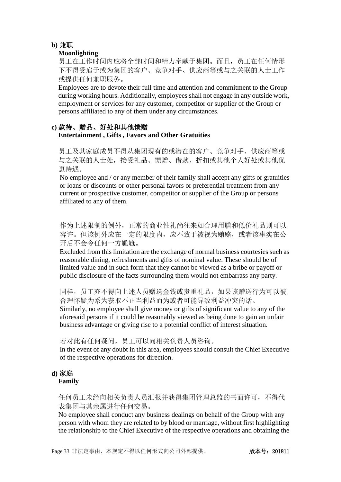### **b)** 兼职

### **Moonlighting**

员工在工作时间内应将全部时间和精力奉献于集团。而且,员工在任何情形 下不得受雇于或为集团的客户、竞争对手、供应商等或与之关联的人士工作 或提供任何兼职服务。

Employees are to devote their full time and attention and commitment to the Group during working hours. Additionally, employees shall not engage in any outside work, employment or services for any customer, competitor or supplier of the Group or persons affiliated to any of them under any circumstances.

# **c)** 款待、赠品、好处和其他馈赠

### **Entertainment , Gifts , Favors and Other Gratuities**

员工及其家庭成员不得从集团现有的或潜在的客户、竞争对手、供应商等或 与之关联的人士处,接受礼品、馈赠、借款、折扣或其他个人好处或其他优 惠待遇。

No employee and / or any member of their family shall accept any gifts or gratuities or loans or discounts or other personal favors or preferential treatment from any current or prospective customer, competitor or supplier of the Group or persons affiliated to any of them.

作为上述限制的例外,正常的商业性礼尚往来如合理用膳和低价礼品则可以 容许。但该例外应在一定的限度内,应不致于被视为贿赂,或者该事实在公 开后不会令任何一方尴尬。

Excluded from this limitation are the exchange of normal business courtesies such as reasonable dining, refreshments and gifts of nominal value. These should be of limited value and in such form that they cannot be viewed as a bribe or payoff or public disclosure of the facts surrounding them would not embarrass any party.

同样,员工亦不得向上述人员赠送金钱或贵重礼品,如果该赠送行为可以被 合理怀疑为系为获取不正当利益而为或者可能导致利益冲突的话。

Similarly, no employee shall give money or gifts of significant value to any of the aforesaid persons if it could be reasonably viewed as being done to gain an unfair business advantage or giving rise to a potential conflict of interest situation.

若对此有任何疑问,员工可以向相关负责人员咨询。

In the event of any doubt in this area, employees should consult the Chief Executive of the respective operations for direction.

# **d)** 家庭

### **Family**

任何员工未经向相关负责人员汇报并获得集团管理总监的书面许可,不得代 表集团与其亲属进行任何交易。

No employee shall conduct any business dealings on behalf of the Group with any person with whom they are related to by blood or marriage, without first highlighting the relationship to the Chief Executive of the respective operations and obtaining the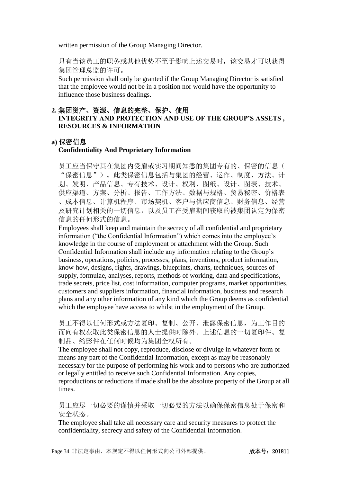written permission of the Group Managing Director.

只有当该员工的职务或其他优势不至于影响上述交易时,该交易才可以获得 集团管理总监的许可。

Such permission shall only be granted if the Group Managing Director is satisfied that the employee would not be in a position nor would have the opportunity to influence those business dealings.

### **2.** 集团资产、资源、信息的完整、保护、使用 **INTEGRITY AND PROTECTION AND USE OF THE GROUP'S ASSETS , RESOURCES & INFORMATION**

### **a)** 保密信息

#### **Confidentiality And Proprietary Information**

员工应当保守其在集团内受雇或实习期间知悉的集团专有的、保密的信息( "保密信息")。此类保密信息包括与集团的经营、运作、制度、方法、计 划、发明、产品信息、专有技术、设计、权利、图纸、设计、图表、技术、 供应渠道、方案、分析、报告、工作方法、数据与规格、贸易秘密、价格表 、成本信息、计算机程序、市场契机、客户与供应商信息、财务信息、经营 及研究计划相关的一切信息,以及员工在受雇期间获取的被集团认定为保密 信息的任何形式的信息。

Employees shall keep and maintain the secrecy of all confidential and proprietary information ("the Confidential Information") which comes into the employee's knowledge in the course of employment or attachment with the Group. Such Confidential Information shall include any information relating to the Group's business, operations, policies, processes, plans, inventions, product information, know-how, designs, rights, drawings, blueprints, charts, techniques, sources of supply, formulae, analyses, reports, methods of working, data and specifications, trade secrets, price list, cost information, computer programs, market opportunities, customers and suppliers information, financial information, business and research plans and any other information of any kind which the Group deems as confidential which the employee have access to whilst in the employment of the Group.

员工不得以任何形式或方法复印、复制、公开、泄露保密信息,为工作目的 而向有权获取此类保密信息的人士提供时除外。上述信息的一切复印件、复 制品、缩影件在任何时候均为集团全权所有。

The employee shall not copy, reproduce, disclose or divulge in whatever form or means any part of the Confidential Information, except as may be reasonably necessary for the purpose of performing his work and to persons who are authorized or legally entitled to receive such Confidential Information. Any copies, reproductions or reductions if made shall be the absolute property of the Group at all times.

员工应尽一切必要的谨慎并采取一切必要的方法以确保保密信息处于保密和 安全状态。

The employee shall take all necessary care and security measures to protect the confidentiality, secrecy and safety of the Confidential Information.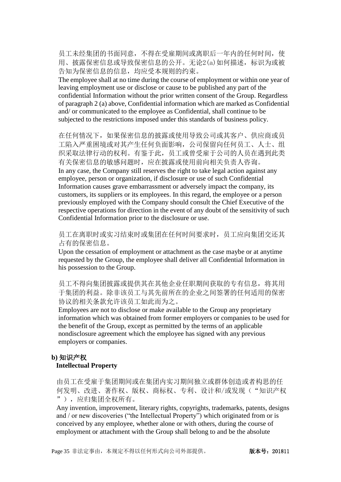员工未经集团的书面同意,不得在受雇期间或离职后一年内的任何时间,使 用、披露保密信息或导致保密信息的公开。无论2(a)如何描述,标识为或被 告知为保密信息的信息,均应受本规则的约束。

The employee shall at no time during the course of employment or within one year of leaving employment use or disclose or cause to be published any part of the confidential Information without the prior written consent of the Group. Regardless of paragraph 2 (a) above, Confidential information which are marked as Confidential and/ or communicated to the employee as Confidential, shall continue to be subjected to the restrictions imposed under this standards of business policy.

在任何情况下,如果保密信息的披露或使用导致公司或其客户、供应商或员 工陷入严重困境或对其产生任何负面影响,公司保留向任何员工、人士、组 织采取法律行动的权利。有鉴于此,员工或曾受雇于公司的人员在遇到此类 有关保密信息的敏感问题时,应在披露或使用前向相关负责人咨询。 In any case, the Company still reserves the right to take legal action against any employee, person or organization, if disclosure or use of such Confidential Information causes grave embarrassment or adversely impact the company, its customers, its suppliers or its employees. In this regard, the employee or a person previously employed with the Company should consult the Chief Executive of the respective operations for direction in the event of any doubt of the sensitivity of such Confidential Information prior to the disclosure or use.

员工在离职时或实习结束时或集团在任何时间要求时,员工应向集团交还其 占有的保密信息。

Upon the cessation of employment or attachment as the case maybe or at anytime requested by the Group, the employee shall deliver all Confidential Information in his possession to the Group.

员工不得向集团披露或提供其在其他企业任职期间获取的专有信息,将其用 于集团的利益。除非该员工与其先前所在的企业之间签署的任何适用的保密 协议的相关条款允许该员工如此而为之。

Employees are not to disclose or make available to the Group any proprietary information which was obtained from former employers or companies to be used for the benefit of the Group, except as permitted by the terms of an applicable nondisclosure agreement which the employee has signed with any previous employers or companies.

### **b)** 知识产权

#### **Intellectual Property**

由员工在受雇于集团期间或在集团内实习期间独立或群体创造或者构思的任 何发明、改进、著作权、版权、商标权、专利、设计和/或发现("知识产权 "),应归集团全权所有。

Any invention, improvement, literary rights, copyrights, trademarks, patents, designs and / or new discoveries ("the Intellectual Property") which originated from or is conceived by any employee, whether alone or with others, during the course of employment or attachment with the Group shall belong to and be the absolute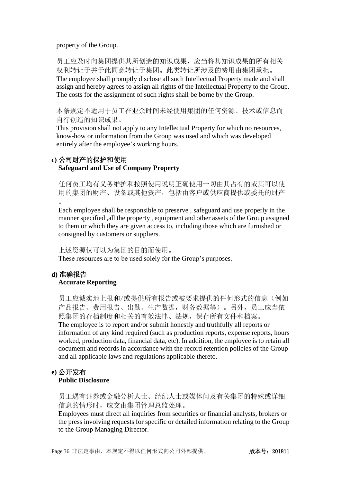property of the Group.

员工应及时向集团提供其所创造的知识成果,应当将其知识成果的所有相关 权利转让于并于此同意转让于集团。此类转让所涉及的费用由集团承担。 The employee shall promptly disclose all such Intellectual Property made and shall assign and hereby agrees to assign all rights of the Intellectual Property to the Group. The costs for the assignment of such rights shall be borne by the Group.

本条规定不适用于员工在业余时间未经使用集团的任何资源、技术或信息而 自行创造的知识成果。

This provision shall not apply to any Intellectual Property for which no resources, know-how or information from the Group was used and which was developed entirely after the employee's working hours.

### **c)** 公司财产的保护和使用 **Safeguard and Use of Company Property**

任何员工均有义务维护和按照使用说明正确使用一切由其占有的或其可以使 用的集团的财产、设备或其他资产,包括由客户或供应商提供或委托的财产  $\circ$ 

Each employee shall be responsible to preserve , safeguard and use properly in the manner specified ,all the property , equipment and other assets of the Group assigned to them or which they are given access to, including those which are furnished or consigned by customers or suppliers.

上述资源仅可以为集团的目的而使用。

These resources are to be used solely for the Group's purposes.

# **d)** 准确报告

### **Accurate Reporting**

员工应诚实地上报和/或提供所有报告或被要求提供的任何形式的信息(例如 产品报告、费用报告、出勤、生产数据,财务数据等)。另外,员工应当依 照集团的存档制度和相关的有效法律、法规,保存所有文件和档案。 The employee is to report and/or submit honestly and truthfully all reports or information of any kind required (such as production reports, expense reports, hours worked, production data, financial data, etc). In addition, the employee is to retain all document and records in accordance with the record retention policies of the Group and all applicable laws and regulations applicable thereto.

# **e)** 公开发布

### **Public Disclosure**

员工遇有证券或金融分析人士、经纪人士或媒体问及有关集团的特殊或详细 信息的情形时,应交由集团管理总监处理。

Employees must direct all inquiries from securities or financial analysts, brokers or the press involving requests for specific or detailed information relating to the Group to the Group Managing Director.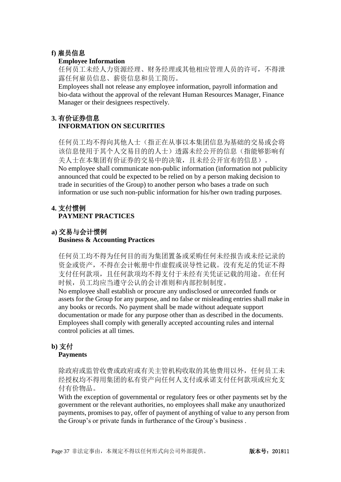### **f)** 雇员信息

### **Employee Information**

任何员工未经人力资源经理、财务经理或其他相应管理人员的许可,不得泄 露任何雇员信息、薪资信息和员工简历。

Employees shall not release any employee information, payroll information and bio-data without the approval of the relevant Human Resources Manager, Finance Manager or their designees respectively.

### **3.** 有价证券信息 **INFORMATION ON SECURITIES**

任何员工均不得向其他人士(指正在从事以本集团信息为基础的交易或会将 该信息使用于其个人交易目的的人士)透露未经公开的信息(指能够影响有 关人士在本集团有价证券的交易中的决策,且未经公开宣布的信息)。 No employee shall communicate non-public information (information not publicity announced that could be expected to be relied on by a person making decision to trade in securities of the Group) to another person who bases a trade on such information or use such non-public information for his/her own trading purposes.

### **4.** 支付惯例 **PAYMENT PRACTICES**

### **a)** 交易与会计惯例 **Business & Accounting Practices**

任何员工均不得为任何目的而为集团置备或采购任何未经报告或未经记录的 资金或资产,不得在会计帐册中作虚假或误导性记载。没有充足的凭证不得 支付任何款项,且任何款项均不得支付于未经有关凭证记载的用途。在任何 时候,员工均应当遵守公认的会计准则和内部控制制度。

No employee shall establish or procure any undisclosed or unrecorded funds or assets for the Group for any purpose, and no false or misleading entries shall make in any books or records. No payment shall be made without adequate support documentation or made for any purpose other than as described in the documents. Employees shall comply with generally accepted accounting rules and internal control policies at all times.

# **b)** 支付

### **Payments**

除政府或监管收费或政府或有关主管机构收取的其他费用以外,任何员工未 经授权均不得用集团的私有资产向任何人支付或承诺支付任何款项或应允支 付有价物品。

With the exception of governmental or regulatory fees or other payments set by the government or the relevant authorities, no employees shall make any unauthorized payments, promises to pay, offer of payment of anything of value to any person from the Group's or private funds in furtherance of the Group's business .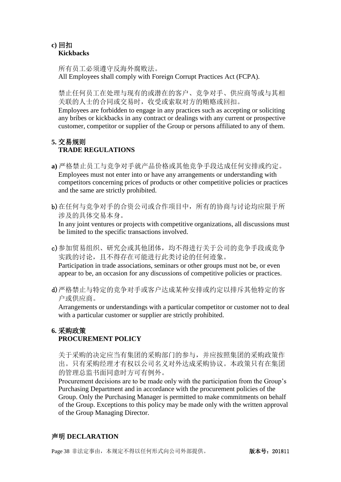### **c)** 回扣 **Kickbacks**

所有员工必须遵守反海外腐败法。 All Employees shall comply with Foreign Corrupt Practices Act (FCPA).

禁止任何员工在处理与现有的或潜在的客户、竞争对手、供应商等或与其相 关联的人士的合同或交易时,收受或索取对方的贿赂或回扣。

Employees are forbidden to engage in any practices such as accepting or soliciting any bribes or kickbacks in any contract or dealings with any current or prospective customer, competitor or supplier of the Group or persons affiliated to any of them.

# **5.** 交易规则 **TRADE REGULATIONS**

- **a)** 严格禁止员工与竞争对手就产品价格或其他竞争手段达成任何安排或约定。 Employees must not enter into or have any arrangements or understanding with competitors concerning prices of products or other competitive policies or practices and the same are strictly prohibited.
- b)在任何与竞争对手的合资公司或合作项目中,所有的协商与讨论均应限于所 涉及的具体交易本身。

In any joint ventures or projects with competitive organizations, all discussions must be limited to the specific transactions involved.

c)参加贸易组织、研究会或其他团体,均不得进行关于公司的竞争手段或竞争 实践的讨论,且不得存在可能进行此类讨论的任何迹象。 Participation in trade associations, seminars or other groups must not be, or even appear to be, an occasion for any discussions of competitive policies or practices.

d)严格禁止与特定的竞争对手或客户达成某种安排或约定以排斥其他特定的客 户或供应商。

Arrangements or understandings with a particular competitor or customer not to deal with a particular customer or supplier are strictly prohibited.

# **6.** 采购政策 **PROCUREMENT POLICY**

关于采购的决定应当有集团的采购部门的参与,并应按照集团的采购政策作 出。只有采购经理才有权以公司名义对外达成采购协议。本政策只有在集团 的管理总监书面同意时方可有例外。

Procurement decisions are to be made only with the participation from the Group's Purchasing Department and in accordance with the procurement policies of the Group. Only the Purchasing Manager is permitted to make commitments on behalf of the Group. Exceptions to this policy may be made only with the written approval of the Group Managing Director.

### 声明 **DECLARATION**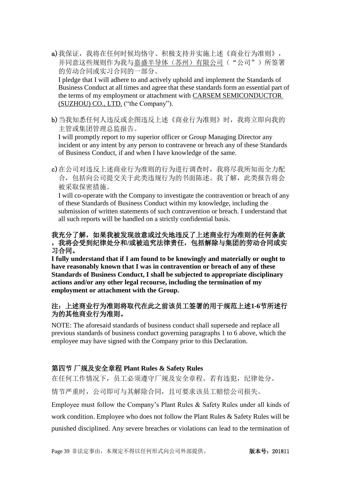a)我保证,我将在任何时候均恪守、积极支持并实施上述《商业行为准则》, 并同意这些规则作为我与嘉盛半导体(苏州)有限公司("公司")所签署 的劳动合同或实习合同的一部分。

I pledge that I will adhere to and actively uphold and implement the Standards of Business Conduct at all times and agree that these standards form an essential part of the terms of my employment or attachment with CARSEM SEMICONDUCTOR (SUZHOU) CO., LTD. ("the Company").

b)当我知悉任何人违反或企图违反上述《商业行为准则》时,我将立即向我的 主管或集团管理总监报告。

I will promptly report to my superior officer or Group Managing Director any incident or any intent by any person to contravene or breach any of these Standards of Business Conduct, if and when I have knowledge of the same.

c)在公司对违反上述商业行为准则的行为进行调查时,我将尽我所知而全力配 合,包括向公司提交关于此类违规行为的书面陈述。我了解,此类报告将会 被采取保密措施。

I will co-operate with the Company to investigate the contravention or breach of any of these Standards of Business Conduct within my knowledge, including the submission of written statements of such contravention or breach. I understand that all such reports will be handled on a strictly confidential basis.

### 我充分了解,如果我被发现故意或过失地违反了上述商业行为准则的任何条款 ,我将会受到纪律处分和**/**或被追究法律责任,包括解除与集团的劳动合同或实 习合同。

**I fully understand that if I am found to be knowingly and materially or ought to have reasonably known that I was in contravention or breach of any of these Standards of Business Conduct, I shall be subjected to appropriate disciplinary actions and/or any other legal recourse, including the termination of my employment or attachment with the Group.**

### 注:上述商业行为准则将取代在此之前该员工签署的用于规范上述**1-6**节所述行 为的其他商业行为准则。

NOTE: The aforesaid standards of business conduct shall supersede and replace all previous standards of business conduct governing paragraphs 1 to 6 above, which the employee may have signed with the Company prior to this Declaration.

# <span id="page-38-0"></span>第四节 厂规及安全章程 **Plant Rules & Safety Rules**

在任何工作情况下,员工必须遵守厂规及安全章程。若有违犯,纪律处分。

情节严重时,公司即可与其解除合同,且可要求该员工赔偿公司损失。

Employee must follow the Company's Plant Rules & Safety Rules under all kinds of work condition. Employee who does not follow the Plant Rules & Safety Rules will be punished disciplined. Any severe breaches or violations can lead to the termination of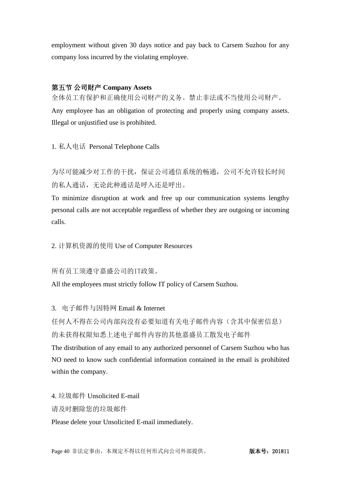employment without given 30 days notice and pay back to Carsem Suzhou for any company loss incurred by the violating employee.

### <span id="page-39-0"></span>第五节 公司财产 **Company Assets**

全体员工有保护和正确使用公司财产的义务。禁止非法或不当使用公司财产。

Any employee has an obligation of protecting and properly using company assets. Illegal or unjustified use is prohibited.

1. 私人电话 Personal Telephone Calls

为尽可能减少对工作的干扰,保证公司通信系统的畅通,公司不允许较长时间 的私人通话,无论此种通话是呼入还是呼出。

To minimize disruption at work and free up our communication systems lengthy personal calls are not acceptable regardless of whether they are outgoing or incoming calls.

2. 计算机资源的使用 Use of Computer Resources

### 所有员工须遵守嘉盛公司的IT政策。

All the employees must strictly follow IT policy of Carsem Suzhou.

3. 电子邮件与因特网 Email & Internet

任何人不得在公司内部向没有必要知道有关电子邮件内容(含其中保密信息) 的未获得权限知悉上述电子邮件内容的其他嘉盛员工散发电子邮件

The distribution of any email to any authorized personnel of Carsem Suzhou who has NO need to know such confidential information contained in the email is prohibited within the company.

4. 垃圾邮件 Unsolicited E-mail 请及时删除您的垃圾邮件 Please delete your Unsolicited E-mail immediately.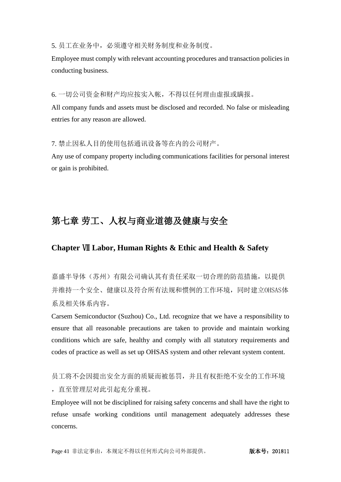5. 员工在业务中,必须遵守相关财务制度和业务制度。

Employee must comply with relevant accounting procedures and transaction policies in conducting business.

6. 一切公司资金和财产均应按实入帐,不得以任何理由虚报或瞒报。

All company funds and assets must be disclosed and recorded. No false or misleading entries for any reason are allowed.

7. 禁止因私人目的使用包括通讯设备等在内的公司财产。

Any use of company property including communications facilities for personal interest or gain is prohibited.

# <span id="page-40-0"></span>第七章 劳工、人权与商业道德及健康与安全

### **Chapter** Ⅶ **Labor, Human Rights & Ethic and Health & Safety**

嘉盛半导体(苏州)有限公司确认其有责任采取一切合理的防范措施,以提供 并维持一个安全、健康以及符合所有法规和惯例的工作环境,同时建立OHSAS体 系及相关体系内容。

Carsem Semiconductor (Suzhou) Co., Ltd. recognize that we have a responsibility to ensure that all reasonable precautions are taken to provide and maintain working conditions which are safe, healthy and comply with all statutory requirements and codes of practice as well as set up OHSAS system and other relevant system content.

员工将不会因提出安全方面的质疑而被惩罚,并且有权拒绝不安全的工作环境 ,直至管理层对此引起充分重视。

Employee will not be disciplined for raising safety concerns and shall have the right to refuse unsafe working conditions until management adequately addresses these concerns.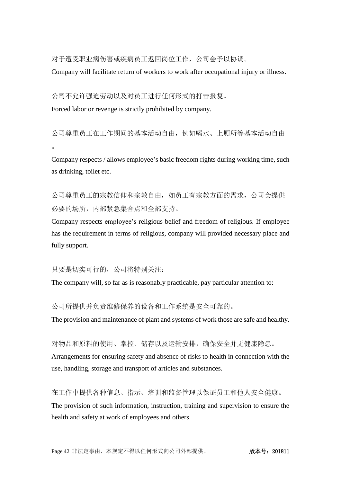对于遭受职业病伤害或疾病员工返回岗位工作,公司会予以协调。

Company will facilitate return of workers to work after occupational injury or illness.

公司不允许强迫劳动以及对员工进行任何形式的打击报复。

Forced labor or revenge is strictly prohibited by company.

公司尊重员工在工作期间的基本活动自由,例如喝水、上厕所等基本活动自由  $\circ$ 

Company respects / allows employee's basic freedom rights during working time, such as drinking, toilet etc.

公司尊重员工的宗教信仰和宗教自由,如员工有宗教方面的需求,公司会提供 必要的场所,内部紧急集合点和全部支持。

Company respects employee's religious belief and freedom of religious. If employee has the requirement in terms of religious, company will provided necessary place and fully support.

只要是切实可行的,公司将特别关注:

The company will, so far as is reasonably practicable, pay particular attention to:

公司所提供并负责维修保养的设备和工作系统是安全可靠的。

The provision and maintenance of plant and systems of work those are safe and healthy.

对物品和原料的使用、掌控、储存以及运输安排,确保安全并无健康隐患。

Arrangements for ensuring safety and absence of risks to health in connection with the use, handling, storage and transport of articles and substances.

在工作中提供各种信息、指示、培训和监督管理以保证员工和他人安全健康。

The provision of such information, instruction, training and supervision to ensure the health and safety at work of employees and others.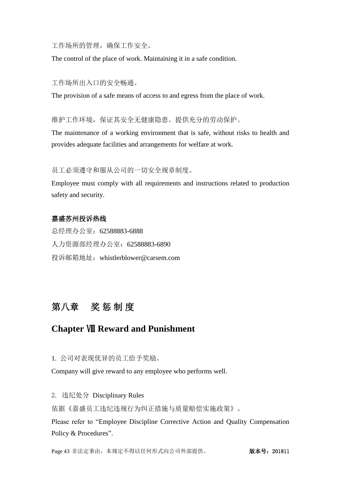工作场所的管理,确保工作安全。

The control of the place of work. Maintaining it in a safe condition.

#### 工作场所出入口的安全畅通。

The provision of a safe means of access to and egress from the place of work.

维护工作环境,保证其安全无健康隐患。提供充分的劳动保护。

The maintenance of a working environment that is safe, without risks to health and provides adequate facilities and arrangements for welfare at work.

### 员工必须遵守和服从公司的一切安全规章制度。

Employee must comply with all requirements and instructions related to production safety and security.

### 嘉盛苏州投诉热线

总经理办公室:62588883-6888 人力资源部经理办公室:62588883-6890 投诉邮箱地址:whistlerblower@carsem.com

# <span id="page-42-0"></span>第八章奖 惩 制 度

# **Chapter** Ⅷ **Reward and Punishment**

1. 公司对表现优异的员工给予奖励。

Company will give reward to any employee who performs well.

2. 违纪处分 Disciplinary Rules

依据《嘉盛员工违纪违规行为纠正措施与质量赔偿实施政策》。

Please refer to "Employee Discipline Corrective Action and Quality Compensation Policy & Procedures".